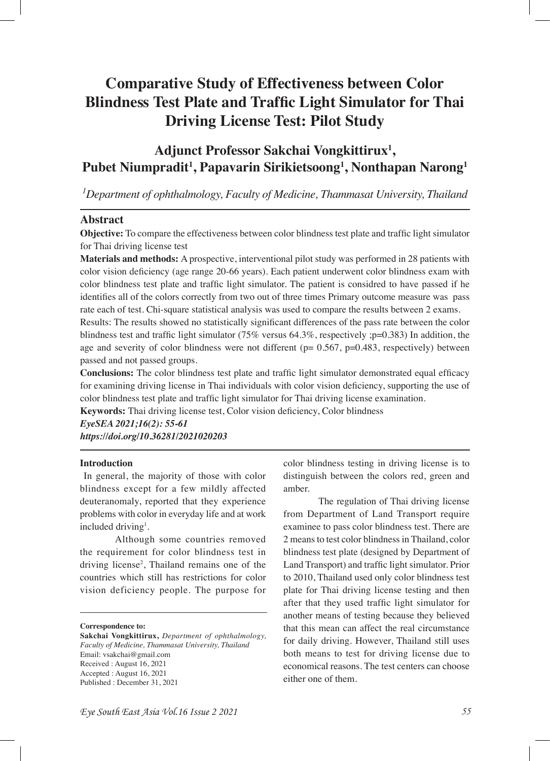# **Comparative Study of Effectiveness between Color Blindness Test Plate and Traffc Light Simulator for Thai Driving License Test: Pilot Study**

# **Adjunct Professor Sakchai Vongkittirux1 , Pubet Niumpradit1 , Papavarin Sirikietsoong1 , Nonthapan Narong1**

*1 Department of ophthalmology, Faculty of Medicine, Thammasat University, Thailand*

# **Abstract**

**Objective:** To compare the effectiveness between color blindness test plate and traffc light simulator for Thai driving license test

**Materials and methods:** A prospective, interventional pilot study was performed in 28 patients with color vision defciency (age range 20-66 years). Each patient underwent color blindness exam with color blindness test plate and traffc light simulator. The patient is considred to have passed if he identifes all of the colors correctly from two out of three times Primary outcome measure was pass rate each of test. Chi-square statistical analysis was used to compare the results between 2 exams.

Results: The results showed no statistically signifcant differences of the pass rate between the color blindness test and traffc light simulator (75% versus 64.3%, respectively ;p=0.383) In addition, the age and severity of color blindness were not different ( $p= 0.567$ ,  $p=0.483$ , respectively) between passed and not passed groups.

**Conclusions:** The color blindness test plate and traffc light simulator demonstrated equal effcacy for examining driving license in Thai individuals with color vision defciency, supporting the use of color blindness test plate and traffc light simulator for Thai driving license examination.

**Keywords:** Thai driving license test, Color vision defciency, Color blindness *EyeSEA 2021;16(2): 55-61*

*https://doi.org/10.36281/2021020203*

# **Introduction**

 In general, the majority of those with color blindness except for a few mildly affected deuteranomaly, reported that they experience problems with color in everyday life and at work included driving<sup>1</sup>.

Although some countries removed the requirement for color blindness test in driving license<sup>2</sup>, Thailand remains one of the countries which still has restrictions for color vision deficiency people. The purpose for

**Correspondence to:**

**Sakchai Vongkittirux,** *Department of ophthalmology, Faculty of Medicine, Thammasat University, Thailand*  Email: vsakchai@gmail.com Received : August 16, 2021 Accepted : August 16, 2021 Published : December 31, 2021

color blindness testing in driving license is to distinguish between the colors red, green and amber.

The regulation of Thai driving license from Department of Land Transport require examinee to pass color blindness test. There are 2 means to test color blindness in Thailand, color blindness test plate (designed by Department of Land Transport) and traffc light simulator. Prior to 2010, Thailand used only color blindness test plate for Thai driving license testing and then after that they used traffc light simulator for another means of testing because they believed that this mean can affect the real circumstance for daily driving. However, Thailand still uses both means to test for driving license due to economical reasons. The test centers can choose either one of them.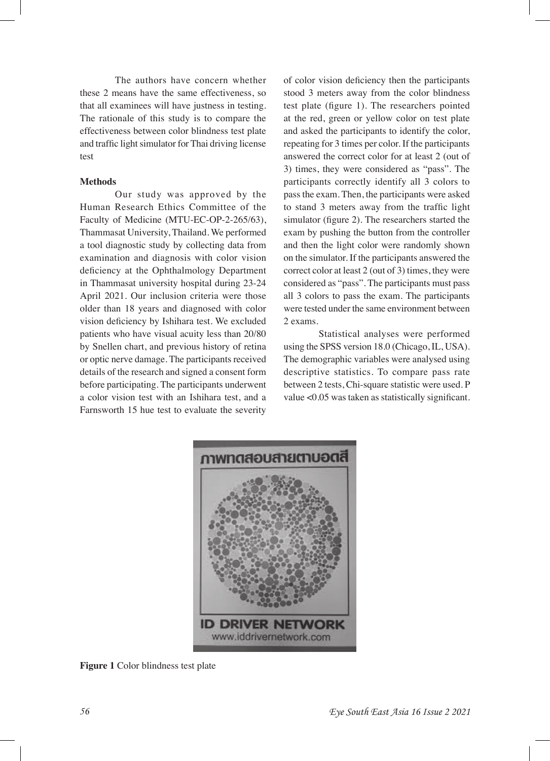The authors have concern whether these 2 means have the same effectiveness, so that all examinees will have justness in testing. The rationale of this study is to compare the effectiveness between color blindness test plate and traffc light simulator for Thai driving license test

## **Methods**

Our study was approved by the Human Research Ethics Committee of the Faculty of Medicine (MTU-EC-OP-2-265/63), Thammasat University, Thailand. We performed a tool diagnostic study by collecting data from examination and diagnosis with color vision defciency at the Ophthalmology Department in Thammasat university hospital during 23-24 April 2021. Our inclusion criteria were those older than 18 years and diagnosed with color vision defciency by Ishihara test. We excluded patients who have visual acuity less than 20/80 by Snellen chart, and previous history of retina or optic nerve damage. The participants received details of the research and signed a consent form before participating. The participants underwent a color vision test with an Ishihara test, and a Farnsworth 15 hue test to evaluate the severity

of color vision defciency then the participants stood 3 meters away from the color blindness test plate (fgure 1). The researchers pointed at the red, green or yellow color on test plate and asked the participants to identify the color, repeating for 3 times per color. If the participants answered the correct color for at least 2 (out of 3) times, they were considered as "pass". The participants correctly identify all 3 colors to pass the exam. Then, the participants were asked to stand 3 meters away from the traffic light simulator (figure 2). The researchers started the exam by pushing the button from the controller and then the light color were randomly shown on the simulator. If the participants answered the correct color at least 2 (out of 3) times, they were considered as "pass". The participants must pass all 3 colors to pass the exam. The participants were tested under the same environment between 2 exams.

Statistical analyses were performed using the SPSS version 18.0 (Chicago, IL, USA). The demographic variables were analysed using descriptive statistics. To compare pass rate between 2 tests, Chi-square statistic were used. P value <0.05 was taken as statistically signifcant.



**Figure 1** Color blindness test plate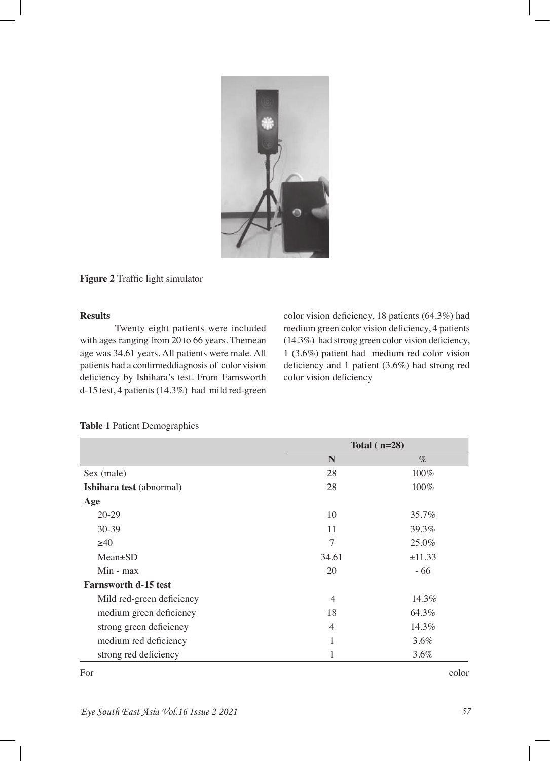

Figure 2 Traffic light simulator

# **Results**

Twenty eight patients were included with ages ranging from 20 to 66 years. Themean age was 34.61 years. All patients were male. All patients had a confrmeddiagnosis of color vision deficiency by Ishihara's test. From Farnsworth d-15 test, 4 patients (14.3%) had mild red-green

color vision defciency, 18 patients (64.3%) had medium green color vision defciency, 4 patients (14.3%) had strong green color vision defciency, 1 (3.6%) patient had medium red color vision deficiency and 1 patient (3.6%) had strong red color vision deficiency

|                             | Total $(n=28)$ |         |  |  |
|-----------------------------|----------------|---------|--|--|
|                             | N              | $\%$    |  |  |
| Sex (male)                  | 28             | $100\%$ |  |  |
| Ishihara test (abnormal)    | 28             | 100%    |  |  |
| Age                         |                |         |  |  |
| $20 - 29$                   | 10             | 35.7%   |  |  |
| $30 - 39$                   | 11             | 39.3%   |  |  |
| $\geq 40$                   | $\overline{7}$ | 25.0%   |  |  |
| $Mean \pm SD$               | 34.61          | ±11.33  |  |  |
| $Min - max$                 | 20             | $-66$   |  |  |
| <b>Farnsworth d-15 test</b> |                |         |  |  |
| Mild red-green deficiency   | $\overline{4}$ | 14.3%   |  |  |
| medium green deficiency     | 18             | 64.3%   |  |  |
| strong green deficiency     | $\overline{4}$ | 14.3%   |  |  |
| medium red deficiency       | 1              | $3.6\%$ |  |  |
| strong red deficiency       | 1              | $3.6\%$ |  |  |

# **Table 1** Patient Demographics

For color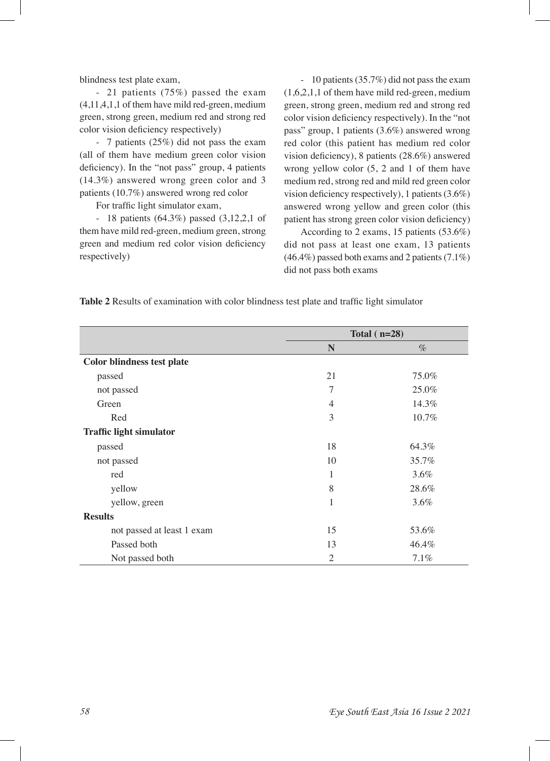blindness test plate exam,

- 21 patients (75%) passed the exam (4,11,4,1,1 of them have mild red-green, medium green, strong green, medium red and strong red color vision defciency respectively)

- 7 patients (25%) did not pass the exam (all of them have medium green color vision deficiency). In the "not pass" group, 4 patients (14.3%) answered wrong green color and 3 patients (10.7%) answered wrong red color

For traffic light simulator exam,

- 18 patients (64.3%) passed (3,12,2,1 of them have mild red-green, medium green, strong green and medium red color vision deficiency respectively)

- 10 patients (35.7%) did not pass the exam (1,6,2,1,1 of them have mild red-green, medium green, strong green, medium red and strong red color vision defciency respectively). In the "not pass" group, 1 patients (3.6%) answered wrong red color (this patient has medium red color vision defciency), 8 patients (28.6%) answered wrong yellow color (5, 2 and 1 of them have medium red, strong red and mild red green color vision defciency respectively), 1 patients (3.6%) answered wrong yellow and green color (this patient has strong green color vision defciency)

According to 2 exams, 15 patients (53.6%) did not pass at least one exam, 13 patients (46.4%) passed both exams and 2 patients (7.1%) did not pass both exams

**Table 2** Results of examination with color blindness test plate and traffc light simulator

|                                   | Total $(n=28)$ |         |  |
|-----------------------------------|----------------|---------|--|
|                                   | N              | $\%$    |  |
| <b>Color blindness test plate</b> |                |         |  |
| passed                            | 21             | 75.0%   |  |
| not passed                        | 7              | 25.0%   |  |
| Green                             | $\overline{4}$ | 14.3%   |  |
| Red                               | 3              | 10.7%   |  |
| <b>Traffic light simulator</b>    |                |         |  |
| passed                            | 18             | 64.3%   |  |
| not passed                        | 10             | 35.7%   |  |
| red                               | 1              | 3.6%    |  |
| yellow                            | 8              | 28.6%   |  |
| yellow, green                     | 1              | $3.6\%$ |  |
| <b>Results</b>                    |                |         |  |
| not passed at least 1 exam        | 15             | 53.6%   |  |
| Passed both                       | 13             | 46.4%   |  |
| Not passed both                   | $\overline{2}$ | 7.1%    |  |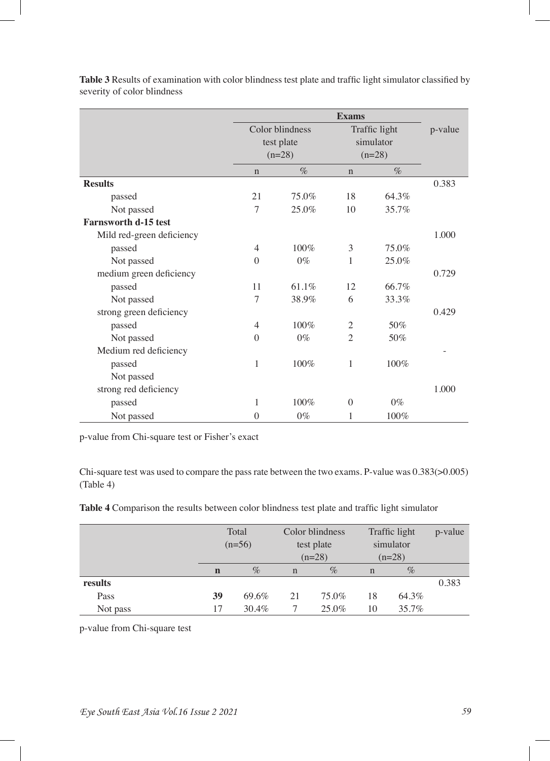|                             | <b>Exams</b>   |                 |                |               |         |
|-----------------------------|----------------|-----------------|----------------|---------------|---------|
|                             |                | Color blindness |                | Traffic light | p-value |
|                             |                | test plate      | simulator      |               |         |
|                             |                | $(n=28)$        | $(n=28)$       |               |         |
|                             | $\mathbf n$    | $\%$            | $\mathbf n$    | $\%$          |         |
| <b>Results</b>              |                |                 |                |               | 0.383   |
| passed                      | 21             | 75.0%           | 18             | 64.3%         |         |
| Not passed                  | 7              | 25.0%           | 10             | 35.7%         |         |
| <b>Farnsworth d-15 test</b> |                |                 |                |               |         |
| Mild red-green deficiency   |                |                 |                |               | 1.000   |
| passed                      | 4              | 100%            | 3              | 75.0%         |         |
| Not passed                  | $\theta$       | $0\%$           | 1              | $25.0\%$      |         |
| medium green deficiency     |                |                 |                |               | 0.729   |
| passed                      | 11             | 61.1%           | 12             | 66.7%         |         |
| Not passed                  | 7              | 38.9%           | 6              | 33.3%         |         |
| strong green deficiency     |                |                 |                |               | 0.429   |
| passed                      | $\overline{4}$ | $100\%$         | 2              | 50%           |         |
| Not passed                  | $\theta$       | $0\%$           | $\overline{2}$ | 50%           |         |
| Medium red deficiency       |                |                 |                |               |         |
| passed                      | 1              | 100%            | 1              | 100%          |         |
| Not passed                  |                |                 |                |               |         |
| strong red deficiency       |                |                 |                |               | 1.000   |
| passed                      | 1              | 100%            | $\theta$       | $0\%$         |         |
| Not passed                  | $\mathbf{0}$   | $0\%$           | 1              | 100%          |         |

Table 3 Results of examination with color blindness test plate and traffic light simulator classified by severity of color blindness

p-value from Chi-square test or Fisher's exact

Chi-square test was used to compare the pass rate between the two exams. P-value was 0.383(>0.005) (Table 4)

| Table 4 Comparison the results between color blindness test plate and traffic light simulator |  |  |
|-----------------------------------------------------------------------------------------------|--|--|
|-----------------------------------------------------------------------------------------------|--|--|

|          | Total       |       | Color blindness |          | Traffic light |          | p-value |
|----------|-------------|-------|-----------------|----------|---------------|----------|---------|
|          | $(n=56)$    |       | test plate      |          | simulator     |          |         |
|          |             |       |                 | $(n=28)$ |               | $(n=28)$ |         |
|          | $\mathbf n$ | $\%$  | $\mathbf n$     | $\%$     | $\mathbf n$   | $\%$     |         |
| results  |             |       |                 |          |               |          | 0.383   |
| Pass     | 39          | 69.6% | 21              | 75.0%    | 18            | 64.3%    |         |
| Not pass | 17          | 30.4% |                 | $25.0\%$ | 10            | 35.7%    |         |

p-value from Chi-square test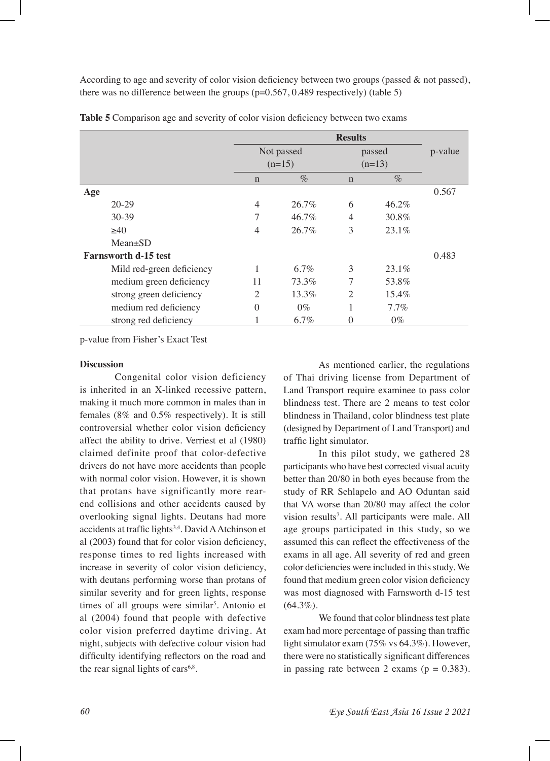According to age and severity of color vision deficiency between two groups (passed  $\&$  not passed), there was no difference between the groups (p=0.567, 0.489 respectively) (table 5)

|                             | <b>Results</b>         |          |                    |          |         |
|-----------------------------|------------------------|----------|--------------------|----------|---------|
|                             | Not passed<br>$(n=15)$ |          | passed<br>$(n=13)$ |          | p-value |
|                             |                        |          |                    |          |         |
|                             | $\mathbf n$            | $\%$     | $\mathbf n$        | $\%$     |         |
| Age                         |                        |          |                    |          | 0.567   |
| $20-29$                     | $\overline{4}$         | $26.7\%$ | 6                  | $46.2\%$ |         |
| $30 - 39$                   | 7                      | 46.7%    | 4                  | 30.8%    |         |
| >40                         | $\overline{4}$         | $26.7\%$ | 3                  | 23.1%    |         |
| $Mean \pm SD$               |                        |          |                    |          |         |
| <b>Farnsworth d-15 test</b> |                        |          |                    |          | 0.483   |
| Mild red-green deficiency   |                        | $6.7\%$  | 3                  | $23.1\%$ |         |
| medium green deficiency     | 11                     | 73.3%    | 7                  | 53.8%    |         |
| strong green deficiency     | $\mathfrak{D}$         | $13.3\%$ | $\mathfrak{D}$     | $15.4\%$ |         |
| medium red deficiency       | $\Omega$               | $0\%$    | 1                  | $7.7\%$  |         |
| strong red deficiency       |                        | 6.7%     | 0                  | $0\%$    |         |

Table 5 Comparison age and severity of color vision deficiency between two exams

p-value from Fisher's Exact Test

#### **Discussion**

Congenital color vision deficiency is inherited in an X-linked recessive pattern, making it much more common in males than in females (8% and 0.5% respectively). It is still controversial whether color vision defciency affect the ability to drive. Verriest et al (1980) claimed definite proof that color-defective drivers do not have more accidents than people with normal color vision. However, it is shown that protans have significantly more rearend collisions and other accidents caused by overlooking signal lights. Deutans had more accidents at traffic lights<sup>3,4</sup>. David A Atchinson et al (2003) found that for color vision defciency, response times to red lights increased with increase in severity of color vision defciency, with deutans performing worse than protans of similar severity and for green lights, response times of all groups were similar<sup>5</sup>. Antonio et al (2004) found that people with defective color vision preferred daytime driving. At night, subjects with defective colour vision had diffculty identifying refectors on the road and the rear signal lights of cars $6.8$ .

As mentioned earlier, the regulations of Thai driving license from Department of Land Transport require examinee to pass color blindness test. There are 2 means to test color blindness in Thailand, color blindness test plate (designed by Department of Land Transport) and traffic light simulator.

In this pilot study, we gathered 28 participants who have best corrected visual acuity better than 20/80 in both eyes because from the study of RR Sehlapelo and AO Oduntan said that VA worse than 20/80 may affect the color vision results<sup>7</sup>. All participants were male. All age groups participated in this study, so we assumed this can refect the effectiveness of the exams in all age. All severity of red and green color defciencies were included in this study. We found that medium green color vision defciency was most diagnosed with Farnsworth d-15 test  $(64.3\%)$ .

We found that color blindness test plate exam had more percentage of passing than traffc light simulator exam (75% vs 64.3%). However, there were no statistically signifcant differences in passing rate between 2 exams ( $p = 0.383$ ).